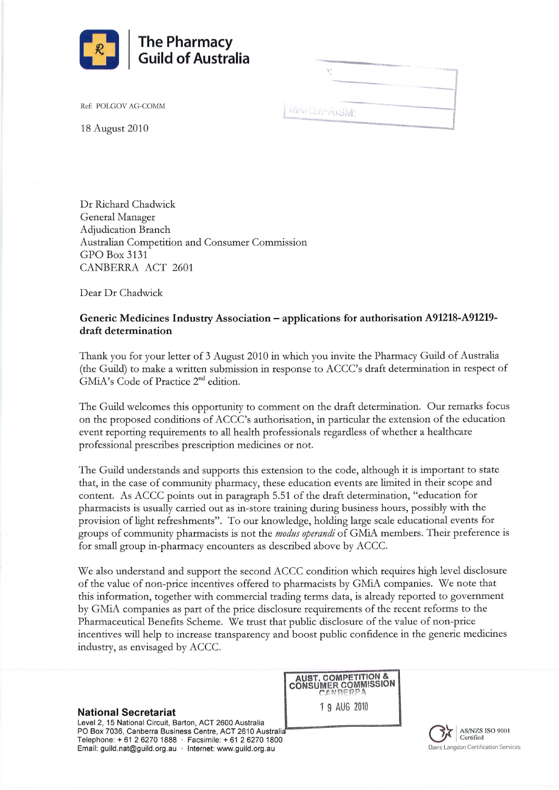

Ref: POLGOV AG-COMM

**MARSTPRISM** 

18 Âugust 2010

Dr Richard Chadwick General Manager Adjudication Branch ,A.ustralian Competition and Consumer Commission GPO Box 3131 CANBERRA ACT 2601

Dear Dr Chadwick

## Generic Medicines Industry Association - applications for authorisation 491218-4912L9 draft determination

Thank you for your letter of 3 August 2010 in which you invite the Pharmacy Guild of Australia (the Guild) to make a written submission in response to ACCC's draft determination in respect of GMiA's Code of Practice 2"d edition.

The Guild welcomes this opportunity to comment on the draft determination. Our remarks focus on the proposed conditions of ACCC's authorisation, in particular the extension of the education event reporting requirements to all health professionals regardless of whether a healthcare professional prescribes prescription medicines or not.

The Guild understands and supports this extension to the code, although it is important to state that, in the case of community pharmacy, these education events are limited in their scope and content. As ACCC points out in paragraph 5.51 of the draft determination, "education for pharmacists is usually carried out as in-store training during business hours, possibly with the provision of light refreshments". To our knowledge, holding large scale educational events for groups of community pharmacists is not the *modus operandi* of GMiA members. Their preference is fot small gtoup in-pharmacy encounters as described above by ACCC.

We also understand and support the second ACCC condition which requires high level disclosure of the value of non-price incentives offered to pharmacists by GMiA companies. We note that this information, together with commercial trading terms data, is alrcady reported to government by GMiA companies as part of the price disclosure requirements of the recent reforms to the Pharmaceutical Benefits Scheme. We trust that public disclosure of the value of non-price incentives will help to increase transparency and boost public confidence in the generic medicines industry, as envisaged by ACCC.

**AUST. COMPETITION &<br>CONSUMER COMMISSION** 

**National Secretariat** 19 AUG 2010

Level 2, 15 National Circuit, Barton, ACT 2600 Australia PO Box 7036, Canberra Business Centre, ACT 2610 Australia Telephone: + 61 2 6270 1888 · Facsimile: + 61 2 6270 1800 Email: guild.nat@guild.org.au · Internet: www.guild.org.au

AS/NZS ISO 9001 Certified Davis Langdon Certification Services